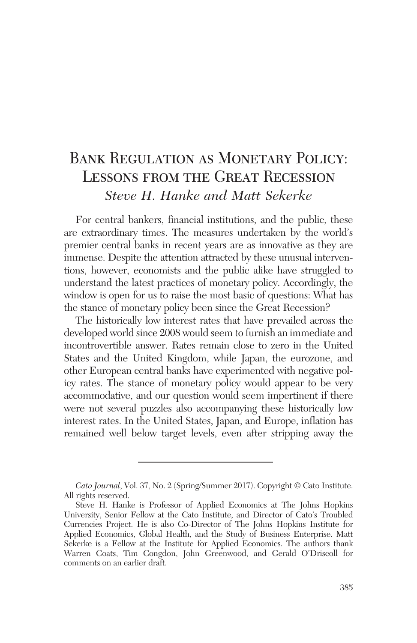# Bank Regulation as Monetary Policy: LESSONS FROM THE GREAT RECESSION *Steve H. Hanke and Matt Sekerke*

For central bankers, financial institutions, and the public, these are extraordinary times. The measures undertaken by the world's premier central banks in recent years are as innovative as they are immense. Despite the attention attracted by these unusual interventions, however, economists and the public alike have struggled to understand the latest practices of monetary policy. Accordingly, the window is open for us to raise the most basic of questions: What has the stance of monetary policy been since the Great Recession?

The historically low interest rates that have prevailed across the developed world since 2008 would seem to furnish an immediate and incontrovertible answer. Rates remain close to zero in the United States and the United Kingdom, while Japan, the eurozone, and other European central banks have experimented with negative policy rates. The stance of monetary policy would appear to be very accommodative, and our question would seem impertinent if there were not several puzzles also accompanying these historically low interest rates. In the United States, Japan, and Europe, inflation has remained well below target levels, even after stripping away the

*Cato Journal*, Vol. 37, No. 2 (Spring/Summer 2017). Copyright © Cato Institute. All rights reserved.

Steve H. Hanke is Professor of Applied Economics at The Johns Hopkins University, Senior Fellow at the Cato Institute, and Director of Cato's Troubled Currencies Project. He is also Co-Director of The Johns Hopkins Institute for Applied Economics, Global Health, and the Study of Business Enterprise. Matt Sekerke is a Fellow at the Institute for Applied Economics. The authors thank Warren Coats, Tim Congdon, John Greenwood, and Gerald O'Driscoll for comments on an earlier draft.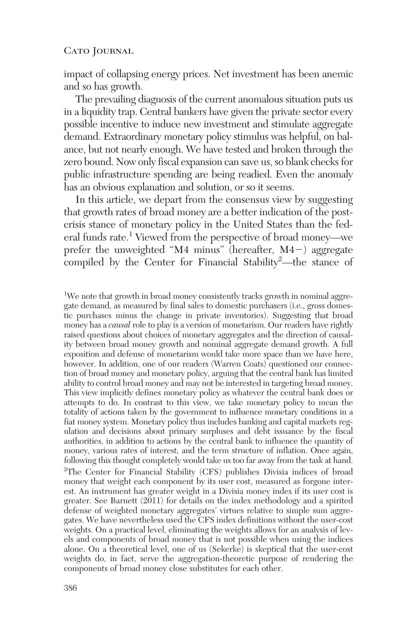impact of collapsing energy prices. Net investment has been anemic and so has growth.

The prevailing diagnosis of the current anomalous situation puts us in a liquidity trap. Central bankers have given the private sector every possible incentive to induce new investment and stimulate aggregate demand. Extraordinary monetary policy stimulus was helpful, on balance, but not nearly enough. We have tested and broken through the zero bound. Now only fiscal expansion can save us, so blank checks for public infrastructure spending are being readied. Even the anomaly has an obvious explanation and solution, or so it seems.

In this article, we depart from the consensus view by suggesting that growth rates of broad money are a better indication of the postcrisis stance of monetary policy in the United States than the federal funds rate.1 Viewed from the perspective of broad money—we prefer the unweighted "M4 minus" (hereafter, M4^) aggregate compiled by the Center for Financial Stability2 —the stance of

<sup>1</sup>We note that growth in broad money consistently tracks growth in nominal aggregate demand, as measured by final sales to domestic purchasers (i.e., gross domestic purchases minus the change in private inventories). Suggesting that broad money has a *causal* role to play is a version of monetarism. Our readers have rightly raised questions about choices of monetary aggregates and the direction of causality between broad money growth and nominal aggregate demand growth. A full exposition and defense of monetarism would take more space than we have here, however. In addition, one of our readers (Warren Coats) questioned our connection of broad money and monetary policy, arguing that the central bank has limited ability to control broad money and may not be interested in targeting broad money. This view implicitly defines monetary policy as whatever the central bank does or attempts to do. In contrast to this view, we take monetary policy to mean the totality of actions taken by the government to influence monetary conditions in a fiat money system. Monetary policy thus includes banking and capital markets regulation and decisions about primary surpluses and debt issuance by the fiscal authorities, in addition to actions by the central bank to influence the quantity of money, various rates of interest, and the term structure of inflation. Once again, following this thought completely would take us too far away from the task at hand. 2 The Center for Financial Stability (CFS) publishes Divisia indices of broad money that weight each component by its user cost, measured as forgone interest. An instrument has greater weight in a Divisia money index if its user cost is greater. See Barnett (2011) for details on the index methodology and a spirited defense of weighted monetary aggregates' virtues relative to simple sum aggregates. We have nevertheless used the CFS index definitions without the user-cost weights. On a practical level, eliminating the weights allows for an analysis of levels and components of broad money that is not possible when using the indices alone. On a theoretical level, one of us (Sekerke) is skeptical that the user-cost weights do, in fact, serve the aggregation-theoretic purpose of rendering the components of broad money close substitutes for each other.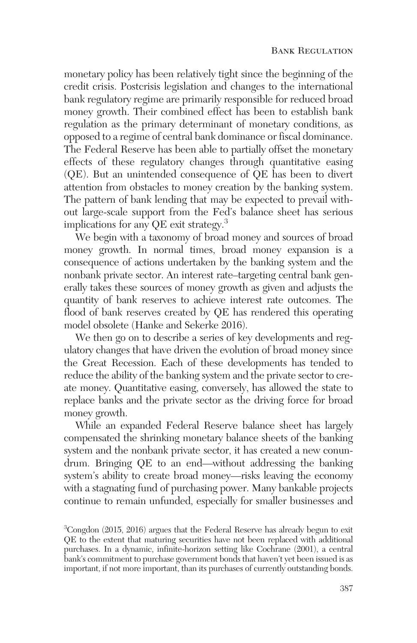monetary policy has been relatively tight since the beginning of the credit crisis. Postcrisis legislation and changes to the international bank regulatory regime are primarily responsible for reduced broad money growth. Their combined effect has been to establish bank regulation as the primary determinant of monetary conditions, as opposed to a regime of central bank dominance or fiscal dominance. The Federal Reserve has been able to partially offset the monetary effects of these regulatory changes through quantitative easing (QE). But an unintended consequence of QE has been to divert attention from obstacles to money creation by the banking system. The pattern of bank lending that may be expected to prevail without large-scale support from the Fed's balance sheet has serious implications for any QE exit strategy.3

We begin with a taxonomy of broad money and sources of broad money growth. In normal times, broad money expansion is a consequence of actions undertaken by the banking system and the nonbank private sector. An interest rate–targeting central bank generally takes these sources of money growth as given and adjusts the quantity of bank reserves to achieve interest rate outcomes. The flood of bank reserves created by QE has rendered this operating model obsolete (Hanke and Sekerke 2016).

We then go on to describe a series of key developments and regulatory changes that have driven the evolution of broad money since the Great Recession. Each of these developments has tended to reduce the ability of the banking system and the private sector to create money. Quantitative easing, conversely, has allowed the state to replace banks and the private sector as the driving force for broad money growth.

While an expanded Federal Reserve balance sheet has largely compensated the shrinking monetary balance sheets of the banking system and the nonbank private sector, it has created a new conundrum. Bringing QE to an end—without addressing the banking system's ability to create broad money—risks leaving the economy with a stagnating fund of purchasing power. Many bankable projects continue to remain unfunded, especially for smaller businesses and

<sup>&</sup>lt;sup>3</sup>Congdon (2015, 2016) argues that the Federal Reserve has already begun to exit QE to the extent that maturing securities have not been replaced with additional purchases. In a dynamic, infinite-horizon setting like Cochrane (2001), a central bank's commitment to purchase government bonds that haven't yet been issued is as important, if not more important, than its purchases of currently outstanding bonds.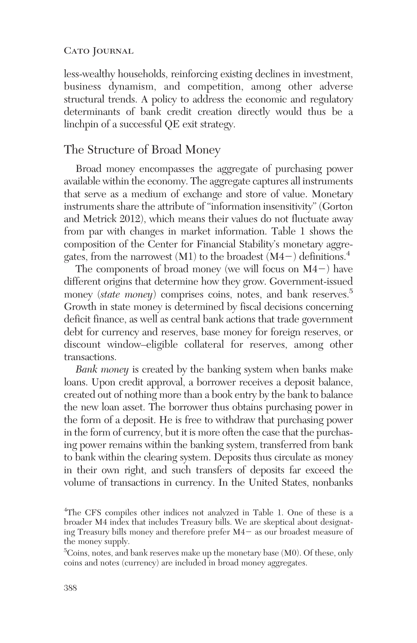less-wealthy households, reinforcing existing declines in investment, business dynamism, and competition, among other adverse structural trends. A policy to address the economic and regulatory determinants of bank credit creation directly would thus be a linchpin of a successful QE exit strategy.

## The Structure of Broad Money

Broad money encompasses the aggregate of purchasing power available within the economy. The aggregate captures all instruments that serve as a medium of exchange and store of value. Monetary instruments share the attribute of "information insensitivity" (Gorton and Metrick 2012), which means their values do not fluctuate away from par with changes in market information. Table 1 shows the composition of the Center for Financial Stability's monetary aggregates, from the narrowest (M1) to the broadest (M4 $-$ ) definitions.<sup>4</sup>

The components of broad money (we will focus on  $M4$ <sup>-</sup>) have different origins that determine how they grow. Government-issued money *(state money)* comprises coins, notes, and bank reserves.<sup>5</sup> Growth in state money is determined by fiscal decisions concerning deficit finance, as well as central bank actions that trade government debt for currency and reserves, base money for foreign reserves, or discount window–eligible collateral for reserves, among other transactions.

*Bank money* is created by the banking system when banks make loans. Upon credit approval, a borrower receives a deposit balance, created out of nothing more than a book entry by the bank to balance the new loan asset. The borrower thus obtains purchasing power in the form of a deposit. He is free to withdraw that purchasing power in the form of currency, but it is more often the case that the purchasing power remains within the banking system, transferred from bank to bank within the clearing system. Deposits thus circulate as money in their own right, and such transfers of deposits far exceed the volume of transactions in currency. In the United States, nonbanks

<sup>4</sup> The CFS compiles other indices not analyzed in Table 1. One of these is a broader M4 index that includes Treasury bills. We are skeptical about designating Treasury bills money and therefore prefer M4^ as our broadest measure of the money supply.

 ${}^{5}$ Coins, notes, and bank reserves make up the monetary base (M0). Of these, only coins and notes (currency) are included in broad money aggregates.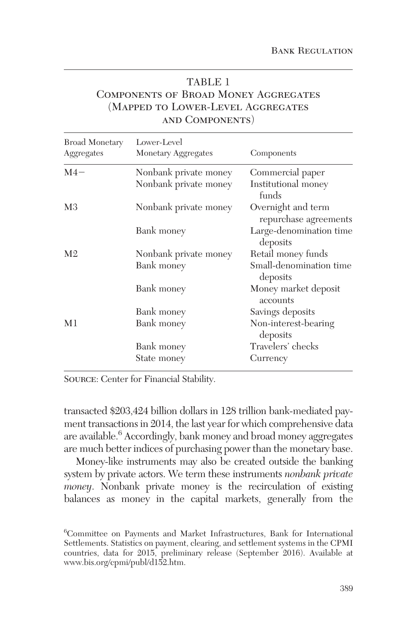## TABLE 1 Components of Broad Money Aggregates (Mapped to Lower-Level Aggregates and Components)

| Broad Monetary<br>Aggregates | Lower-Level<br>Monetary Aggregates | Components                                  |
|------------------------------|------------------------------------|---------------------------------------------|
| $M4-$                        | Nonbank private money              | Commercial paper                            |
|                              | Nonbank private money              | Institutional money<br>funds                |
| M <sub>3</sub>               | Nonbank private money              | Overnight and term<br>repurchase agreements |
|                              | Bank money                         | Large-denomination time<br>deposits         |
| M <sub>2</sub>               | Nonbank private money              | Retail money funds                          |
|                              | Bank money                         | Small-denomination time<br>deposits         |
|                              | Bank money                         | Money market deposit<br>accounts            |
|                              | Bank money                         | Savings deposits                            |
| M1                           | Bank money                         | Non-interest-bearing<br>deposits            |
|                              | Bank money                         | Travelers' checks                           |
|                              | State money                        | Currency                                    |

Source: Center for Financial Stability.

transacted \$203,424 billion dollars in 128 trillion bank-mediated payment transactions in 2014, the last year for which comprehensive data are available.<sup>6</sup> Accordingly, bank money and broad money aggregates are much better indices of purchasing power than the monetary base.

Money-like instruments may also be created outside the banking system by private actors. We term these instruments *nonbank private money*. Nonbank private money is the recirculation of existing balances as money in the capital markets, generally from the

<sup>6</sup> Committee on Payments and Market Infrastructures, Bank for International Settlements. Statistics on payment, clearing, and settlement systems in the CPMI countries, data for 2015, preliminary release (September 2016). Available at www.bis.org/cpmi/publ/d152.htm.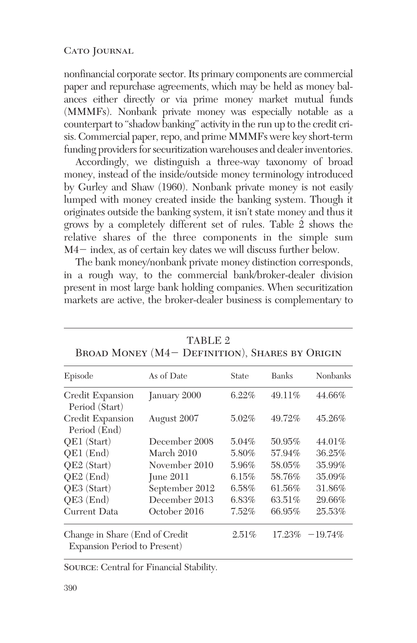nonfinancial corporate sector. Its primary components are commercial paper and repurchase agreements, which may be held as money balances either directly or via prime money market mutual funds (MMMFs). Nonbank private money was especially notable as a counterpart to "shadow banking" activity in the run up to the credit crisis. Commercial paper, repo, and prime MMMFs were key short-term funding providers for securitization warehouses and dealer inventories.

Accordingly, we distinguish a three-way taxonomy of broad money, instead of the inside/outside money terminology introduced by Gurley and Shaw (1960). Nonbank private money is not easily lumped with money created inside the banking system. Though it originates outside the banking system, it isn't state money and thus it grows by a completely different set of rules. Table 2 shows the relative shares of the three components in the simple sum  $M4-$  index, as of certain key dates we will discuss further below.

The bank money/nonbank private money distinction corresponds, in a rough way, to the commercial bank/broker-dealer division present in most large bank holding companies. When securitization markets are active, the broker-dealer business is complementary to

| Episode                                                        | As of Date     | State    | <b>Banks</b> | <b>Nonbanks</b> |
|----------------------------------------------------------------|----------------|----------|--------------|-----------------|
| Credit Expansion<br>Period (Start)                             | January 2000   | $6.22\%$ | 49.11%       | 44.66%          |
| Credit Expansion<br>Period (End)                               | August 2007    | 5.02%    | 49.72%       | 45.26%          |
| QE1 (Start)                                                    | December 2008  | $5.04\%$ | 50.95%       | 44.01%          |
| QE1 (End)                                                      | March 2010     | 5.80%    | 57.94%       | 36.25%          |
| QE2 (Start)                                                    | November 2010  | 5.96%    | 58.05%       | 35.99%          |
| QE2 (End)                                                      | June $2011$    | 6.15%    | 58.76%       | 35.09%          |
| QE3 (Start)                                                    | September 2012 | 6.58%    | 61.56%       | 31.86%          |
| QE3 (End)                                                      | December 2013  | 6.83%    | 63.51%       | 29.66%          |
| Current Data                                                   | October 2016   | 7.52%    | 66.95%       | 25.53%          |
| Change in Share (End of Credit<br>Expansion Period to Present) |                | 2.51%    | 17.23%       | $-19.74\%$      |

TABLE 2  $B_{\text{BOMD}}$  Money  $(M)$  – Definition), Shares by Origin

Source: Central for Financial Stability.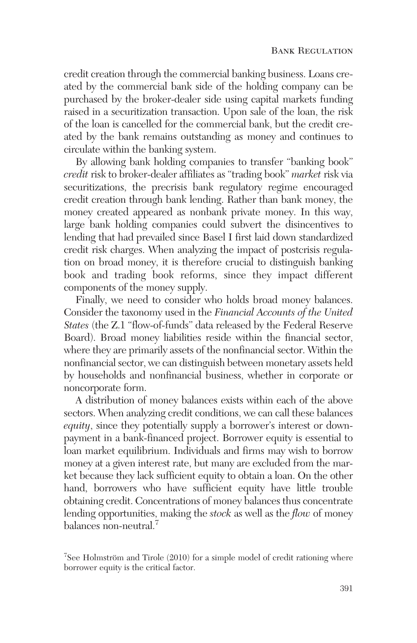credit creation through the commercial banking business. Loans created by the commercial bank side of the holding company can be purchased by the broker-dealer side using capital markets funding raised in a securitization transaction. Upon sale of the loan, the risk of the loan is cancelled for the commercial bank, but the credit created by the bank remains outstanding as money and continues to circulate within the banking system.

By allowing bank holding companies to transfer "banking book" *credit* risk to broker-dealer affiliates as "trading book" *market* risk via securitizations, the precrisis bank regulatory regime encouraged credit creation through bank lending. Rather than bank money, the money created appeared as nonbank private money. In this way, large bank holding companies could subvert the disincentives to lending that had prevailed since Basel I first laid down standardized credit risk charges. When analyzing the impact of postcrisis regulation on broad money, it is therefore crucial to distinguish banking book and trading book reforms, since they impact different components of the money supply.

Finally, we need to consider who holds broad money balances. Consider the taxonomy used in the *Financial Accounts of the United States* (the Z.1 "flow-of-funds" data released by the Federal Reserve Board). Broad money liabilities reside within the financial sector, where they are primarily assets of the nonfinancial sector. Within the nonfinancial sector, we can distinguish between monetary assets held by households and nonfinancial business, whether in corporate or noncorporate form.

A distribution of money balances exists within each of the above sectors. When analyzing credit conditions, we can call these balances *equity*, since they potentially supply a borrower's interest or downpayment in a bank-financed project. Borrower equity is essential to loan market equilibrium. Individuals and firms may wish to borrow money at a given interest rate, but many are excluded from the market because they lack sufficient equity to obtain a loan. On the other hand, borrowers who have sufficient equity have little trouble obtaining credit. Concentrations of money balances thus concentrate lending opportunities, making the *stock* as well as the *flow* of money balances non-neutral.7

<sup>&</sup>lt;sup>7</sup>See Holmström and Tirole (2010) for a simple model of credit rationing where borrower equity is the critical factor.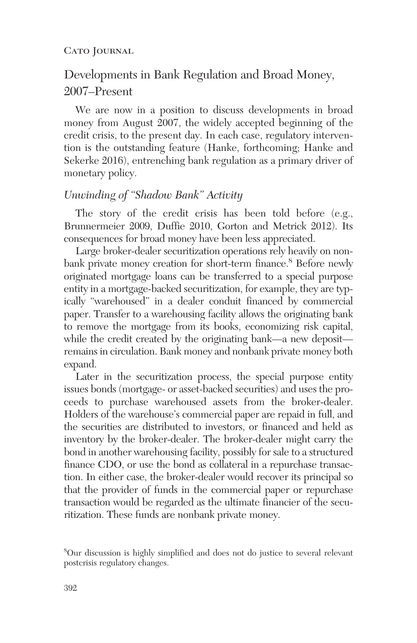## Developments in Bank Regulation and Broad Money, 2007–Present

We are now in a position to discuss developments in broad money from August 2007, the widely accepted beginning of the credit crisis, to the present day. In each case, regulatory intervention is the outstanding feature (Hanke, forthcoming; Hanke and Sekerke 2016), entrenching bank regulation as a primary driver of monetary policy.

## *Unwinding of "Shadow Bank" Activity*

The story of the credit crisis has been told before (e.g., Brunnermeier 2009, Duffie 2010, Gorton and Metrick 2012). Its consequences for broad money have been less appreciated.

Large broker-dealer securitization operations rely heavily on nonbank private money creation for short-term finance.<sup>8</sup> Before newly originated mortgage loans can be transferred to a special purpose entity in a mortgage-backed securitization, for example, they are typically "warehoused" in a dealer conduit financed by commercial paper. Transfer to a warehousing facility allows the originating bank to remove the mortgage from its books, economizing risk capital, while the credit created by the originating bank—a new deposit remains in circulation. Bank money and nonbank private money both expand.

Later in the securitization process, the special purpose entity issues bonds (mortgage- or asset-backed securities) and uses the proceeds to purchase warehoused assets from the broker-dealer. Holders of the warehouse's commercial paper are repaid in full, and the securities are distributed to investors, or financed and held as inventory by the broker-dealer. The broker-dealer might carry the bond in another warehousing facility, possibly for sale to a structured finance CDO, or use the bond as collateral in a repurchase transaction. In either case, the broker-dealer would recover its principal so that the provider of funds in the commercial paper or repurchase transaction would be regarded as the ultimate financier of the securitization. These funds are nonbank private money.

<sup>8</sup> Our discussion is highly simplified and does not do justice to several relevant postcrisis regulatory changes.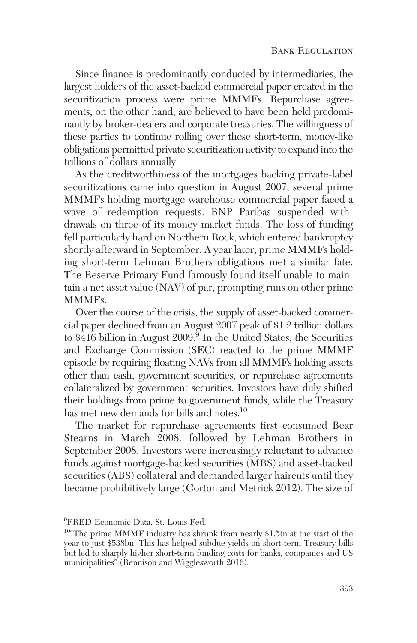Since finance is predominantly conducted by intermediaries, the largest holders of the asset-backed commercial paper created in the securitization process were prime MMMFs. Repurchase agreements, on the other hand, are believed to have been held predominantly by broker-dealers and corporate treasuries. The willingness of these parties to continue rolling over these short-term, money-like obligations permitted private securitization activity to expand into the trillions of dollars annually.

As the creditworthiness of the mortgages backing private-label securitizations came into question in August 2007, several prime MMMFs holding mortgage warehouse commercial paper faced a wave of redemption requests. BNP Paribas suspended withdrawals on three of its money market funds. The loss of funding fell particularly hard on Northern Rock, which entered bankruptcy shortly afterward in September. A year later, prime MMMFs holding short-term Lehman Brothers obligations met a similar fate. The Reserve Primary Fund famously found itself unable to maintain a net asset value (NAV) of par, prompting runs on other prime MMMFs.

Over the course of the crisis, the supply of asset-backed commercial paper declined from an August 2007 peak of \$1.2 trillion dollars to  $\hat{$416}$  billion in August 2009.<sup>9</sup> In the United States, the Securities and Exchange Commission (SEC) reacted to the prime MMMF episode by requiring floating NAVs from all MMMFs holding assets other than cash, government securities, or repurchase agreements collateralized by government securities. Investors have duly shifted their holdings from prime to government funds, while the Treasury has met new demands for bills and notes.<sup>10</sup>

The market for repurchase agreements first consumed Bear Stearns in March 2008, followed by Lehman Brothers in September 2008. Investors were increasingly reluctant to advance funds against mortgage-backed securities (MBS) and asset-backed securities (ABS) collateral and demanded larger haircuts until they became prohibitively large (Gorton and Metrick 2012). The size of

<sup>&</sup>lt;sup>9</sup>FRED Economic Data, St. Louis Fed.

<sup>&</sup>lt;sup>10</sup>"The prime MMMF industry has shrunk from nearly \$1.5tn at the start of the year to just \$538bn. This has helped subdue yields on short-term Treasury bills but led to sharply higher short-term funding costs for banks, companies and US municipalities" (Rennison and Wigglesworth 2016).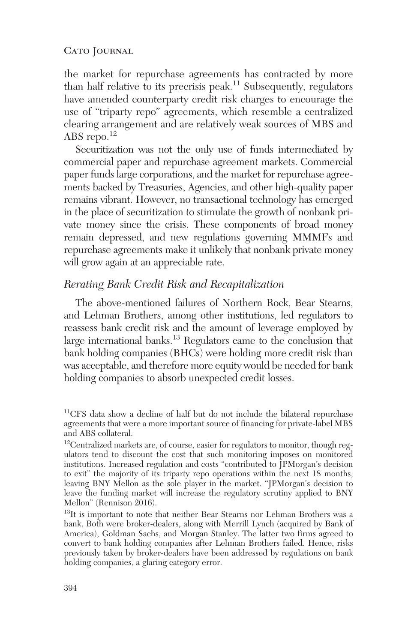the market for repurchase agreements has contracted by more than half relative to its precrisis peak.<sup>11</sup> Subsequently, regulators have amended counterparty credit risk charges to encourage the use of "triparty repo" agreements, which resemble a centralized clearing arrangement and are relatively weak sources of MBS and ABS repo.<sup>12</sup>

Securitization was not the only use of funds intermediated by commercial paper and repurchase agreement markets. Commercial paper funds large corporations, and the market for repurchase agreements backed by Treasuries, Agencies, and other high-quality paper remains vibrant. However, no transactional technology has emerged in the place of securitization to stimulate the growth of nonbank private money since the crisis. These components of broad money remain depressed, and new regulations governing MMMFs and repurchase agreements make it unlikely that nonbank private money will grow again at an appreciable rate.

## *Rerating Bank Credit Risk and Recapitalization*

The above-mentioned failures of Northern Rock, Bear Stearns, and Lehman Brothers, among other institutions, led regulators to reassess bank credit risk and the amount of leverage employed by large international banks.13 Regulators came to the conclusion that bank holding companies (BHCs) were holding more credit risk than was acceptable, and therefore more equity would be needed for bank holding companies to absorb unexpected credit losses.

<sup>11</sup>CFS data show a decline of half but do not include the bilateral repurchase agreements that were a more important source of financing for private-label MBS and ABS collateral.

<sup>&</sup>lt;sup>12</sup>Centralized markets are, of course, easier for regulators to monitor, though regulators tend to discount the cost that such monitoring imposes on monitored institutions. Increased regulation and costs "contributed to JPMorgan's decision to exit" the majority of its triparty repo operations within the next 18 months, leaving BNY Mellon as the sole player in the market. "JPMorgan's decision to leave the funding market will increase the regulatory scrutiny applied to BNY Mellon" (Rennison 2016).

<sup>&</sup>lt;sup>13</sup>It is important to note that neither Bear Stearns nor Lehman Brothers was a bank. Both were broker-dealers, along with Merrill Lynch (acquired by Bank of America), Goldman Sachs, and Morgan Stanley. The latter two firms agreed to convert to bank holding companies after Lehman Brothers failed. Hence, risks previously taken by broker-dealers have been addressed by regulations on bank holding companies, a glaring category error.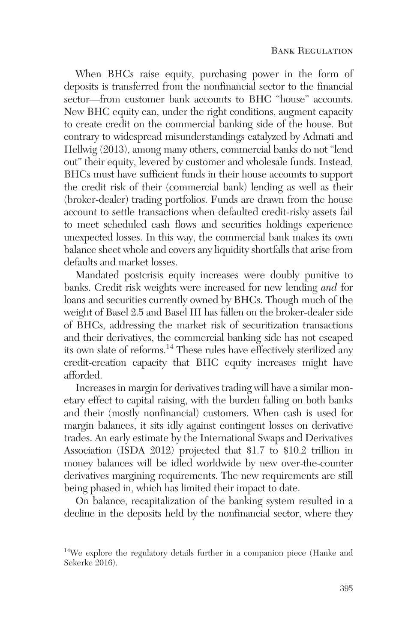When BHCs raise equity, purchasing power in the form of deposits is transferred from the nonfinancial sector to the financial sector—from customer bank accounts to BHC "house" accounts. New BHC equity can, under the right conditions, augment capacity to create credit on the commercial banking side of the house. But contrary to widespread misunderstandings catalyzed by Admati and Hellwig (2013), among many others, commercial banks do not "lend out" their equity, levered by customer and wholesale funds. Instead, BHCs must have sufficient funds in their house accounts to support the credit risk of their (commercial bank) lending as well as their (broker-dealer) trading portfolios. Funds are drawn from the house account to settle transactions when defaulted credit-risky assets fail to meet scheduled cash flows and securities holdings experience unexpected losses. In this way, the commercial bank makes its own balance sheet whole and covers any liquidity shortfalls that arise from defaults and market losses.

Mandated postcrisis equity increases were doubly punitive to banks. Credit risk weights were increased for new lending *and* for loans and securities currently owned by BHCs. Though much of the weight of Basel 2.5 and Basel III has fallen on the broker-dealer side of BHCs, addressing the market risk of securitization transactions and their derivatives, the commercial banking side has not escaped its own slate of reforms.<sup>14</sup> These rules have effectively sterilized any credit-creation capacity that BHC equity increases might have afforded.

Increases in margin for derivatives trading will have a similar monetary effect to capital raising, with the burden falling on both banks and their (mostly nonfinancial) customers. When cash is used for margin balances, it sits idly against contingent losses on derivative trades. An early estimate by the International Swaps and Derivatives Association (ISDA 2012) projected that \$1.7 to \$10.2 trillion in money balances will be idled worldwide by new over-the-counter derivatives margining requirements. The new requirements are still being phased in, which has limited their impact to date.

On balance, recapitalization of the banking system resulted in a decline in the deposits held by the nonfinancial sector, where they

<sup>&</sup>lt;sup>14</sup>We explore the regulatory details further in a companion piece (Hanke and Sekerke 2016).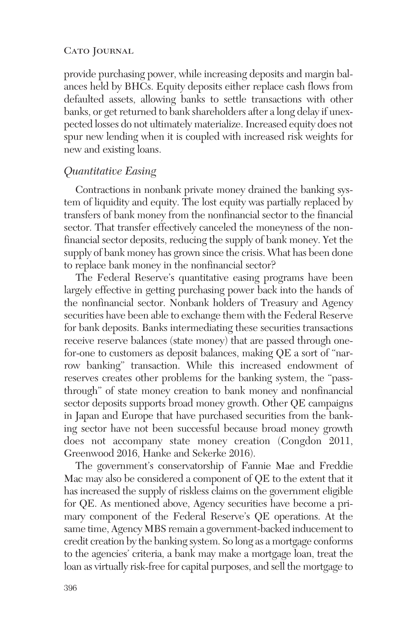provide purchasing power, while increasing deposits and margin balances held by BHCs. Equity deposits either replace cash flows from defaulted assets, allowing banks to settle transactions with other banks, or get returned to bank shareholders after a long delay if unexpected losses do not ultimately materialize. Increased equity does not spur new lending when it is coupled with increased risk weights for new and existing loans.

### *Quantitative Easing*

Contractions in nonbank private money drained the banking system of liquidity and equity. The lost equity was partially replaced by transfers of bank money from the nonfinancial sector to the financial sector. That transfer effectively canceled the moneyness of the nonfinancial sector deposits, reducing the supply of bank money. Yet the supply of bank money has grown since the crisis. What has been done to replace bank money in the nonfinancial sector?

The Federal Reserve's quantitative easing programs have been largely effective in getting purchasing power back into the hands of the nonfinancial sector. Nonbank holders of Treasury and Agency securities have been able to exchange them with the Federal Reserve for bank deposits. Banks intermediating these securities transactions receive reserve balances (state money) that are passed through onefor-one to customers as deposit balances, making QE a sort of "narrow banking" transaction. While this increased endowment of reserves creates other problems for the banking system, the "passthrough" of state money creation to bank money and nonfinancial sector deposits supports broad money growth. Other QE campaigns in Japan and Europe that have purchased securities from the banking sector have not been successful because broad money growth does not accompany state money creation (Congdon 2011, Greenwood 2016, Hanke and Sekerke 2016).

The government's conservatorship of Fannie Mae and Freddie Mac may also be considered a component of QE to the extent that it has increased the supply of riskless claims on the government eligible for QE. As mentioned above, Agency securities have become a primary component of the Federal Reserve's QE operations. At the same time, Agency MBS remain a government-backed inducement to credit creation by the banking system. So long as a mortgage conforms to the agencies' criteria, a bank may make a mortgage loan, treat the loan as virtually risk-free for capital purposes, and sell the mortgage to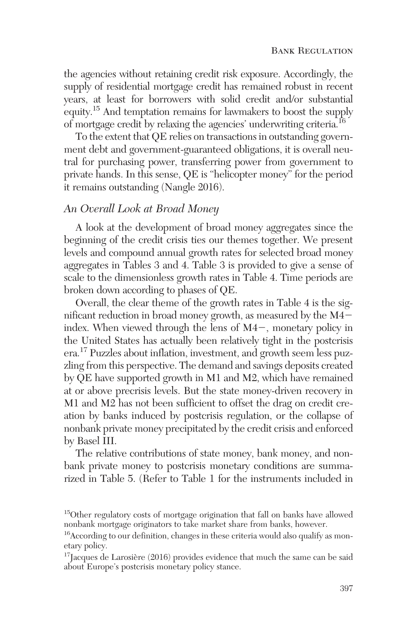the agencies without retaining credit risk exposure. Accordingly, the supply of residential mortgage credit has remained robust in recent years, at least for borrowers with solid credit and/or substantial equity.15 And temptation remains for lawmakers to boost the supply of mortgage credit by relaxing the agencies' underwriting criteria.16

To the extent that QE relies on transactions in outstanding government debt and government-guaranteed obligations, it is overall neutral for purchasing power, transferring power from government to private hands. In this sense, QE is "helicopter money" for the period it remains outstanding (Nangle 2016).

## *An Overall Look at Broad Money*

A look at the development of broad money aggregates since the beginning of the credit crisis ties our themes together. We present levels and compound annual growth rates for selected broad money aggregates in Tables 3 and 4. Table 3 is provided to give a sense of scale to the dimensionless growth rates in Table 4. Time periods are broken down according to phases of QE.

Overall, the clear theme of the growth rates in Table 4 is the significant reduction in broad money growth, as measured by the  $M4$ index. When viewed through the lens of  $M4-$ , monetary policy in the United States has actually been relatively tight in the postcrisis era.17 Puzzles about inflation, investment, and growth seem less puzzling from this perspective. The demand and savings deposits created by QE have supported growth in M1 and M2, which have remained at or above precrisis levels. But the state money-driven recovery in M1 and M2 has not been sufficient to offset the drag on credit creation by banks induced by postcrisis regulation, or the collapse of nonbank private money precipitated by the credit crisis and enforced by Basel III.

The relative contributions of state money, bank money, and nonbank private money to postcrisis monetary conditions are summarized in Table 5. (Refer to Table 1 for the instruments included in

<sup>&</sup>lt;sup>15</sup>Other regulatory costs of mortgage origination that fall on banks have allowed nonbank mortgage originators to take market share from banks, however.

<sup>16</sup>According to our definition, changes in these criteria would also qualify as monetary policy.

 $17$ Jacques de Larosière (2016) provides evidence that much the same can be said about Europe's postcrisis monetary policy stance.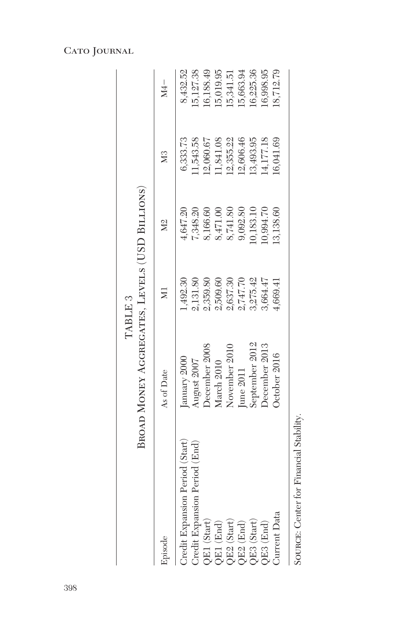|                                 | BROAD MONEY AGGREGATES, LEVELS (USD BILLIONS) | TABLE 3              |           |                |           |
|---------------------------------|-----------------------------------------------|----------------------|-----------|----------------|-----------|
| Episode                         | As of Date                                    | $\overline{M}$       | <b>Σ</b>  | M <sub>3</sub> |           |
| Credit Expansion Period (Start) | anuary 2000                                   | 492.30               | t, 647.20 | 6,333.73       | 8,432.52  |
| Credit Expansion Period (End)   | <b>August 2007</b>                            | ,131.80              | 7,348.20  | 1,543.58       | 5,127.38  |
| QE1 (Start)                     | December 2008                                 | 1,359.80             | 3,166.60  | 2,060.67       | 6,188.49  |
| $QE1$ (End)                     | March 2010                                    | 2,509.60             | 3,471.00  | 1,841.08       | 5,019.95  |
| QE2 (Start)                     | November 2010                                 |                      | 8,741.80  | 2,355.22       | 15,341.51 |
| $QE2$ (End)                     | <b>Tune 2011</b>                              | 2,637.30<br>2,747.70 | 9,092.80  | 12,606.46      | 15,663.94 |
| QE3 (Start)                     | september 2012                                | 3,275.42             | 0,183.10  | 13,493.95      | 0,225.36  |
| $QE3$ (End)                     | December 2013                                 | 3,664.47             | 0,994.70  | 4,177.18       | 6,998.95  |
| Current Data                    | October 2016                                  | 1,669.41             | .3,138.60 | 6,041.69       | 8,712.79  |
|                                 |                                               |                      |           |                |           |

SOURCE: Center for Financial Stability. Source: Center for Financial Stability.

## Cato Journal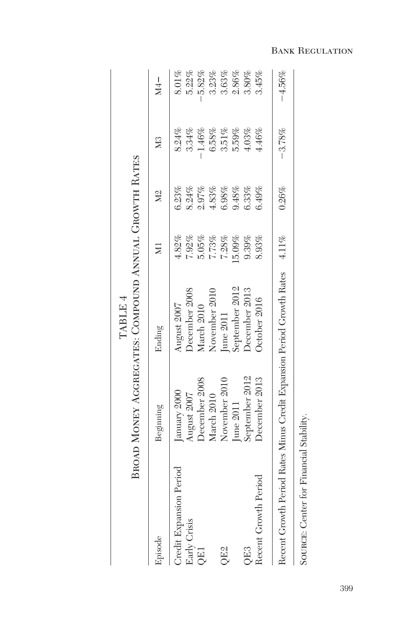|                                                                             |                | BROAD MONEY AGGREGATES: COMPOUND ANNUAL GROWTH RATES<br>TABLE 4 |        |               |                |          |
|-----------------------------------------------------------------------------|----------------|-----------------------------------------------------------------|--------|---------------|----------------|----------|
| Episode                                                                     | Beginning      | Ending                                                          | $\sum$ | $\frac{2}{2}$ | X <sub>3</sub> | $M4-$    |
| Credit Expansion Period                                                     | January 2000   | August 2007                                                     | 4.82%  | 6.23%         | 8.24%          | $8.01\%$ |
| Early Crisis                                                                | August 2007    | December 2008                                                   | 7.92%  | 8.24%         | 3.34%          | 5.22%    |
| QE1                                                                         | December 2008  | March 2010                                                      | 5.05%  | 2.97%         | 1.46%          | $-5.82%$ |
|                                                                             | March 2010     | November 2010                                                   | 7.73%  | 4.83%         | 6.58%          | 3.23%    |
| QE2                                                                         | November 2010  | June 2011                                                       | 7.28%  | 6.98%         | 3.51%          | 3.63%    |
|                                                                             | June 2011      | September 2012                                                  | 5.09%  | 9.48%         | 5.59%          | $2.86\%$ |
| QE3                                                                         | September 2012 | December 2013                                                   | 9.39%  | 6.33%         | 4.03%          | 3.80%    |
| Recent Growth Period                                                        | December 2013  | October 2016                                                    | 8.93%  | 6.49%         | 4.46%          | 3.45%    |
| Recent Growth Period Rates Minus Credit Expansion Period Growth Rates 4.11% |                |                                                                 |        | 0.26%         | $-3.78%$       | $-4.56%$ |
|                                                                             |                |                                                                 |        |               |                |          |

SOURCE: Center for Financial Stability. Source: Center for Financial Stability.

Bank Regulation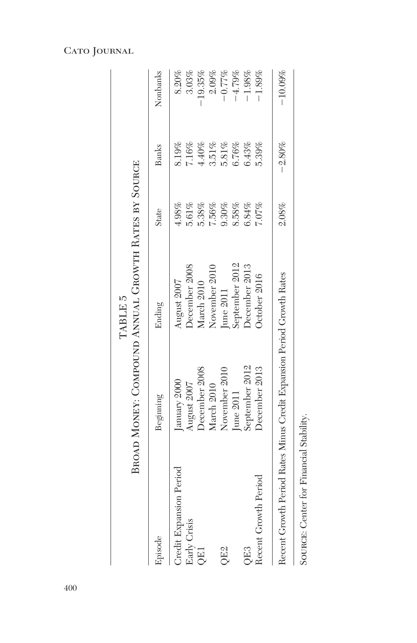|                                                                       |                | BROAD MONEY: COMPOUND ANNUAL GROWTH RATES BY SOURCE<br>TABLE 5 |          |              |           |
|-----------------------------------------------------------------------|----------------|----------------------------------------------------------------|----------|--------------|-----------|
| Episode                                                               | Beginning      | Ending                                                         | State    | <b>Banks</b> | Nonbanks  |
| Credit Expansion Period                                               | January 2000   | August 2007                                                    | 4.98%    | 3.19%        | $8.20\%$  |
| Early Crisis                                                          | August 2007    | December 2008                                                  | 5.61%    | 7.16%        | 3.03%     |
| <b>OE1</b>                                                            | December 2008  | March 2010                                                     | 5.38%    | 4.40%        | 19.35%    |
|                                                                       | March 2010     | November 2010                                                  | 7.56%    | $3.51\%$     | 2.09%     |
| QE <sub>2</sub>                                                       | November 2010  | June 2011                                                      | $9.30\%$ | $5.81\%$     | $-0.77%$  |
|                                                                       | June 2011      | September 2012                                                 | $8.58\%$ | 6.76%        | $-4.79%$  |
| QE3                                                                   | September 2012 | December 2013                                                  | 6.84%    | 6.43%        | $-1.98%$  |
| Recent Growth Period                                                  | December 2013  | October 2016                                                   | 7.07%    | 5.39%        | 1.89%     |
| Recent Growth Period Rates Minus Credit Expansion Period Growth Rates |                |                                                                | $2.08\%$ | $-2.80%$     | $-10.09%$ |

SOURCE: Center for Financial Stability. Source: Center for Financial Stability.

## Cato Journal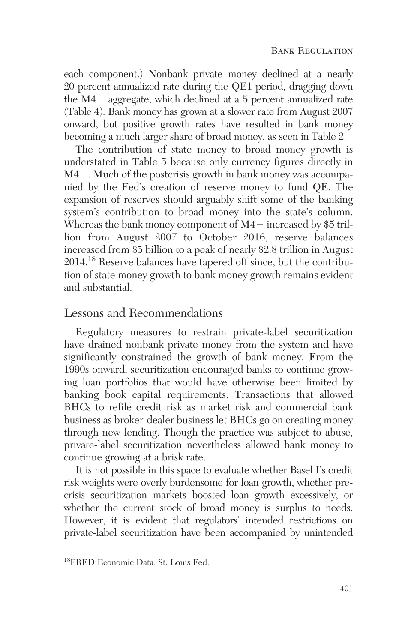each component.) Nonbank private money declined at a nearly 20 percent annualized rate during the QE1 period, dragging down the  $M4-$  aggregate, which declined at a 5 percent annualized rate (Table 4). Bank money has grown at a slower rate from August 2007 onward, but positive growth rates have resulted in bank money becoming a much larger share of broad money, as seen in Table 2.

The contribution of state money to broad money growth is understated in Table 5 because only currency figures directly in  $M4-$ . Much of the postcrisis growth in bank money was accompanied by the Fed's creation of reserve money to fund QE. The expansion of reserves should arguably shift some of the banking system's contribution to broad money into the state's column. Whereas the bank money component of  $M4-$  increased by \$5 trillion from August 2007 to October 2016, reserve balances increased from \$5 billion to a peak of nearly \$2.8 trillion in August 2014.18 Reserve balances have tapered off since, but the contribution of state money growth to bank money growth remains evident and substantial.

### Lessons and Recommendations

Regulatory measures to restrain private-label securitization have drained nonbank private money from the system and have significantly constrained the growth of bank money. From the 1990s onward, securitization encouraged banks to continue growing loan portfolios that would have otherwise been limited by banking book capital requirements. Transactions that allowed BHCs to refile credit risk as market risk and commercial bank business as broker-dealer business let BHCs go on creating money through new lending. Though the practice was subject to abuse, private-label securitization nevertheless allowed bank money to continue growing at a brisk rate.

It is not possible in this space to evaluate whether Basel I's credit risk weights were overly burdensome for loan growth, whether precrisis securitization markets boosted loan growth excessively, or whether the current stock of broad money is surplus to needs. However, it is evident that regulators' intended restrictions on private-label securitization have been accompanied by unintended

<sup>18</sup>FRED Economic Data, St. Louis Fed.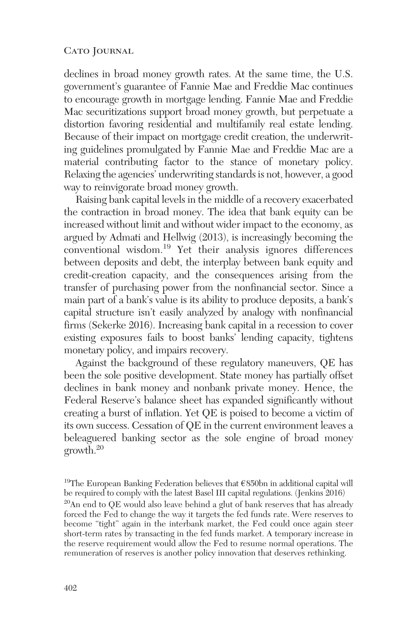declines in broad money growth rates. At the same time, the U.S. government's guarantee of Fannie Mae and Freddie Mac continues to encourage growth in mortgage lending. Fannie Mae and Freddie Mac securitizations support broad money growth, but perpetuate a distortion favoring residential and multifamily real estate lending. Because of their impact on mortgage credit creation, the underwriting guidelines promulgated by Fannie Mae and Freddie Mac are a material contributing factor to the stance of monetary policy. Relaxing the agencies' underwriting standards is not, however, a good way to reinvigorate broad money growth.

Raising bank capital levels in the middle of a recovery exacerbated the contraction in broad money. The idea that bank equity can be increased without limit and without wider impact to the economy, as argued by Admati and Hellwig (2013), is increasingly becoming the conventional wisdom.<sup>19</sup> Yet their analysis ignores differences between deposits and debt, the interplay between bank equity and credit-creation capacity, and the consequences arising from the transfer of purchasing power from the nonfinancial sector. Since a main part of a bank's value is its ability to produce deposits, a bank's capital structure isn't easily analyzed by analogy with nonfinancial firms (Sekerke 2016). Increasing bank capital in a recession to cover existing exposures fails to boost banks' lending capacity, tightens monetary policy, and impairs recovery.

Against the background of these regulatory maneuvers, QE has been the sole positive development. State money has partially offset declines in bank money and nonbank private money. Hence, the Federal Reserve's balance sheet has expanded significantly without creating a burst of inflation. Yet QE is poised to become a victim of its own success. Cessation of QE in the current environment leaves a beleaguered banking sector as the sole engine of broad money growth.20

<sup>19</sup>The European Banking Federation believes that  $\epsilon$ 850bn in additional capital will be required to comply with the latest Basel III capital regulations. (Jenkins 2016)  $20$ An end to QE would also leave behind a glut of bank reserves that has already forced the Fed to change the way it targets the fed funds rate. Were reserves to become "tight" again in the interbank market, the Fed could once again steer short-term rates by transacting in the fed funds market. A temporary increase in the reserve requirement would allow the Fed to resume normal operations. The remuneration of reserves is another policy innovation that deserves rethinking.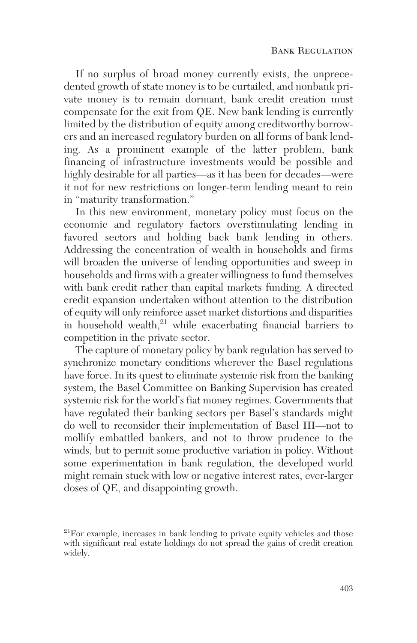If no surplus of broad money currently exists, the unprecedented growth of state money is to be curtailed, and nonbank private money is to remain dormant, bank credit creation must compensate for the exit from QE. New bank lending is currently limited by the distribution of equity among creditworthy borrowers and an increased regulatory burden on all forms of bank lending. As a prominent example of the latter problem, bank financing of infrastructure investments would be possible and highly desirable for all parties—as it has been for decades—were it not for new restrictions on longer-term lending meant to rein in "maturity transformation."

In this new environment, monetary policy must focus on the economic and regulatory factors overstimulating lending in favored sectors and holding back bank lending in others. Addressing the concentration of wealth in households and firms will broaden the universe of lending opportunities and sweep in households and firms with a greater willingness to fund themselves with bank credit rather than capital markets funding. A directed credit expansion undertaken without attention to the distribution of equity will only reinforce asset market distortions and disparities in household wealth, $21$  while exacerbating financial barriers to competition in the private sector.

The capture of monetary policy by bank regulation has served to synchronize monetary conditions wherever the Basel regulations have force. In its quest to eliminate systemic risk from the banking system, the Basel Committee on Banking Supervision has created systemic risk for the world's fiat money regimes. Governments that have regulated their banking sectors per Basel's standards might do well to reconsider their implementation of Basel III—not to mollify embattled bankers, and not to throw prudence to the winds, but to permit some productive variation in policy. Without some experimentation in bank regulation, the developed world might remain stuck with low or negative interest rates, ever-larger doses of QE, and disappointing growth.

 $21$ For example, increases in bank lending to private equity vehicles and those with significant real estate holdings do not spread the gains of credit creation widely.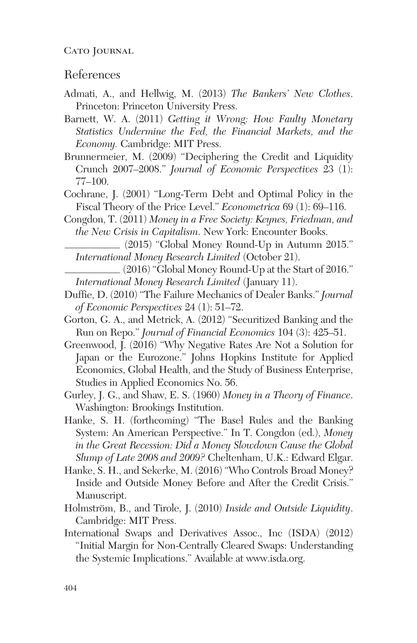### References

- Admati, A., and Hellwig, M. (2013) *The Bankers' New Clothes*. Princeton: Princeton University Press.
- Barnett, W. A. (2011) *Getting it Wrong: How Faulty Monetary Statistics Undermine the Fed, the Financial Markets, and the Economy.* Cambridge: MIT Press.
- Brunnermeier, M. (2009) "Deciphering the Credit and Liquidity Crunch 2007–2008." *Journal of Economic Perspectives* 23 (1): 77–100.
- Cochrane, J. (2001) "Long-Term Debt and Optimal Policy in the Fiscal Theory of the Price Level." *Econometrica* 69 (1): 69–116.
- Congdon, T. (2011) *Money in a Free Society: Keynes, Friedman, and the New Crisis in Capitalism*. New York: Encounter Books.
	- (2015) "Global Money Round-Up in Autumn 2015." *International Money Research Limited* (October 21).
	- (2016) "Global Money Round-Up at the Start of 2016." *International Money Research Limited* (January 11).
- Duffie, D. (2010) "The Failure Mechanics of Dealer Banks." *Journal of Economic Perspectives* 24 (1): 51–72.
- Gorton, G. A., and Metrick, A. (2012) "Securitized Banking and the Run on Repo." *Journal of Financial Economics* 104 (3): 425–51.
- Greenwood, J. (2016) "Why Negative Rates Are Not a Solution for Japan or the Eurozone." Johns Hopkins Institute for Applied Economics, Global Health, and the Study of Business Enterprise, Studies in Applied Economics No. 56.
- Gurley, J. G., and Shaw, E. S. (1960) *Money in a Theory of Finance*. Washington: Brookings Institution.
- Hanke, S. H. (forthcoming) "The Basel Rules and the Banking System: An American Perspective." In T. Congdon (ed.), *Money in the Great Recession: Did a Money Slowdown Cause the Global Slump of Late 2008 and 2009?* Cheltenham, U.K.: Edward Elgar.
- Hanke, S. H., and Sekerke, M. (2016) "Who Controls Broad Money? Inside and Outside Money Before and After the Credit Crisis." Manuscript.
- Holmström, B., and Tirole, J. (2010) *Inside and Outside Liquidity*. Cambridge: MIT Press.
- International Swaps and Derivatives Assoc., Inc (ISDA) (2012) "Initial Margin for Non-Centrally Cleared Swaps: Understanding the Systemic Implications." Available at www.isda.org.